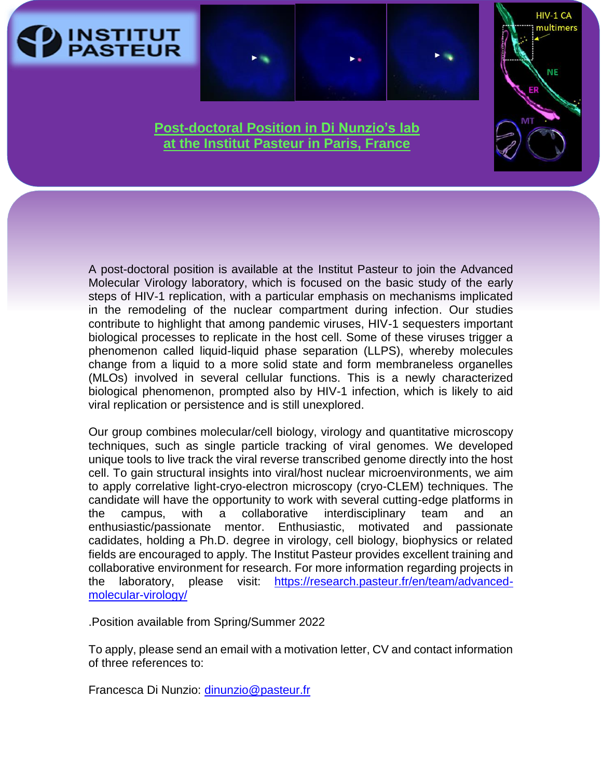



HIV-1 CA multimers

## **Post-doctoral Position in Di Nunzio's lab at the Institut Pasteur in Paris, France**

A post-doctoral position is available at the Institut Pasteur to join the Advanced Molecular Virology laboratory, which is focused on the basic study of the early steps of HIV-1 replication, with a particular emphasis on mechanisms implicated in the remodeling of the nuclear compartment during infection. Our studies contribute to highlight that among pandemic viruses, HIV-1 sequesters important biological processes to replicate in the host cell. Some of these viruses trigger a phenomenon called liquid-liquid phase separation (LLPS), whereby molecules change from a liquid to a more solid state and form membraneless organelles (MLOs) involved in several cellular functions. This is a newly characterized biological phenomenon, prompted also by HIV-1 infection, which is likely to aid viral replication or persistence and is still unexplored.

Our group combines molecular/cell biology, virology and quantitative microscopy techniques, such as single particle tracking of viral genomes. We developed unique tools to live track the viral reverse transcribed genome directly into the host cell. To gain structural insights into viral/host nuclear microenvironments, we aim to apply correlative light-cryo-electron microscopy (cryo-CLEM) techniques. The candidate will have the opportunity to work with several cutting-edge platforms in the campus, with a collaborative interdisciplinary team and an enthusiastic/passionate mentor. Enthusiastic, motivated and passionate cadidates, holding a Ph.D. degree in virology, cell biology, biophysics or related fields are encouraged to apply. The Institut Pasteur provides excellent training and collaborative environment for research. For more information regarding projects in the laboratory, please visit: [https://research.pasteur.fr/en/team/advanced](https://research.pasteur.fr/en/team/advanced-molecular-virology/)[molecular-virology/](https://research.pasteur.fr/en/team/advanced-molecular-virology/)

.Position available from Spring/Summer 2022

To apply, please send an email with a motivation letter, CV and contact information of three references to:

Francesca Di Nunzio: [dinunzio@pasteur.fr](mailto:dinunzio@pasteur.fr)